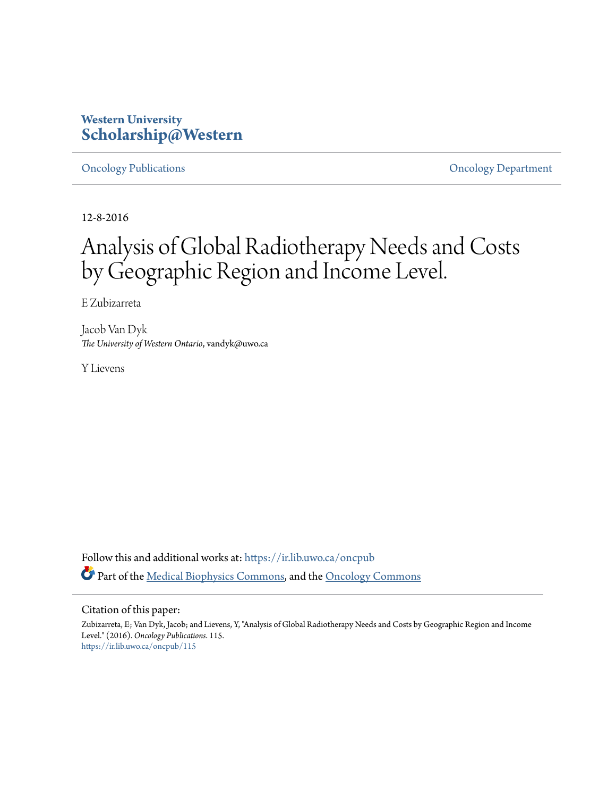# **Western University [Scholarship@Western](https://ir.lib.uwo.ca?utm_source=ir.lib.uwo.ca%2Foncpub%2F115&utm_medium=PDF&utm_campaign=PDFCoverPages)**

[Oncology Publications](https://ir.lib.uwo.ca/oncpub?utm_source=ir.lib.uwo.ca%2Foncpub%2F115&utm_medium=PDF&utm_campaign=PDFCoverPages) [Oncology Department](https://ir.lib.uwo.ca/onc?utm_source=ir.lib.uwo.ca%2Foncpub%2F115&utm_medium=PDF&utm_campaign=PDFCoverPages)

12-8-2016

# Analysis of Global Radiotherapy Needs and Costs by Geographic Region and Income Level.

E Zubizarreta

Jacob Van Dyk *The University of Western Ontario*, vandyk@uwo.ca

Y Lievens

Follow this and additional works at: [https://ir.lib.uwo.ca/oncpub](https://ir.lib.uwo.ca/oncpub?utm_source=ir.lib.uwo.ca%2Foncpub%2F115&utm_medium=PDF&utm_campaign=PDFCoverPages) Part of the [Medical Biophysics Commons,](http://network.bepress.com/hgg/discipline/668?utm_source=ir.lib.uwo.ca%2Foncpub%2F115&utm_medium=PDF&utm_campaign=PDFCoverPages) and the [Oncology Commons](http://network.bepress.com/hgg/discipline/694?utm_source=ir.lib.uwo.ca%2Foncpub%2F115&utm_medium=PDF&utm_campaign=PDFCoverPages)

### Citation of this paper:

Zubizarreta, E; Van Dyk, Jacob; and Lievens, Y, "Analysis of Global Radiotherapy Needs and Costs by Geographic Region and Income Level." (2016). *Oncology Publications*. 115. [https://ir.lib.uwo.ca/oncpub/115](https://ir.lib.uwo.ca/oncpub/115?utm_source=ir.lib.uwo.ca%2Foncpub%2F115&utm_medium=PDF&utm_campaign=PDFCoverPages)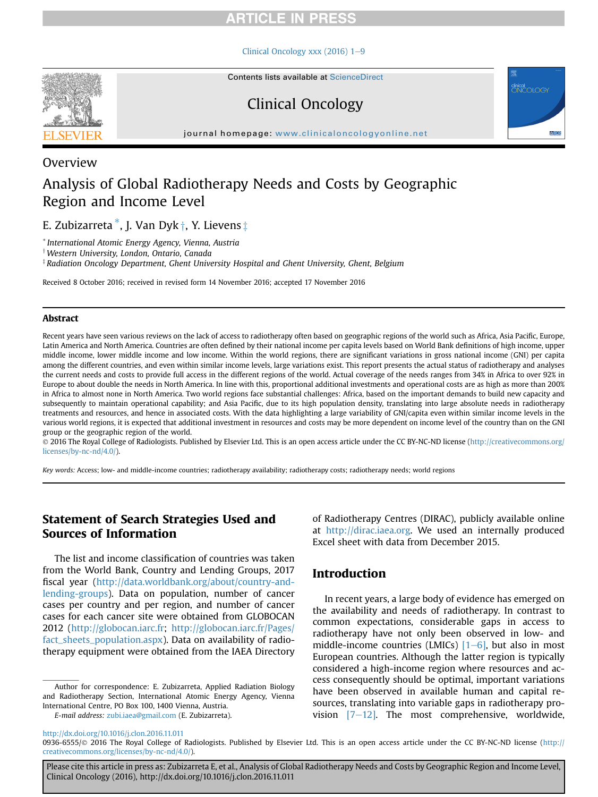#### Clinical Oncology xxx (2016)  $1-9$  $1-9$



Contents lists available at ScienceDirect

# Clinical Oncology

journal homepage: [www.clinicaloncologyonline.net](http://www.clinicaloncologyonline.net)

# Overview

# Analysis of Global Radiotherapy Needs and Costs by Geographic Region and Income Level

E. Zubizarreta  $*$ , J. Van Dyk  $\dagger$ , Y. Lievens  $\dagger$ 

\* International Atomic Energy Agency, Vienna, Austria

<sup>†</sup> Western University, London, Ontario, Canada

 $\frac{1}{2}$  Radiation Oncology Department, Ghent University Hospital and Ghent University, Ghent, Belgium

Received 8 October 2016; received in revised form 14 November 2016; accepted 17 November 2016

#### Abstract

Recent years have seen various reviews on the lack of access to radiotherapy often based on geographic regions of the world such as Africa, Asia Pacific, Europe, Latin America and North America. Countries are often defined by their national income per capita levels based on World Bank definitions of high income, upper middle income, lower middle income and low income. Within the world regions, there are significant variations in gross national income (GNI) per capita among the different countries, and even within similar income levels, large variations exist. This report presents the actual status of radiotherapy and analyses the current needs and costs to provide full access in the different regions of the world. Actual coverage of the needs ranges from 34% in Africa to over 92% in Europe to about double the needs in North America. In line with this, proportional additional investments and operational costs are as high as more than 200% in Africa to almost none in North America. Two world regions face substantial challenges: Africa, based on the important demands to build new capacity and subsequently to maintain operational capability; and Asia Pacific, due to its high population density, translating into large absolute needs in radiotherapy treatments and resources, and hence in associated costs. With the data highlighting a large variability of GNI/capita even within similar income levels in the various world regions, it is expected that additional investment in resources and costs may be more dependent on income level of the country than on the GNI group or the geographic region of the world.

 2016 The Royal College of Radiologists. Published by Elsevier Ltd. This is an open access article under the CC BY-NC-ND license ([http://creativecommons.org/](http://creativecommons.org/licenses/by-nc-nd/4.0/) [licenses/by-nc-nd/4.0/](http://creativecommons.org/licenses/by-nc-nd/4.0/)).

Key words: Access; low- and middle-income countries; radiotherapy availability; radiotherapy costs; radiotherapy needs; world regions

# Statement of Search Strategies Used and Sources of Information

The list and income classification of countries was taken from the World Bank, Country and Lending Groups, 2017 fiscal year [\(http://data.worldbank.org/about/country-and](http://data.worldbank.org/about/country-and-lending-groups)[lending-groups\)](http://data.worldbank.org/about/country-and-lending-groups). Data on population, number of cancer cases per country and per region, and number of cancer cases for each cancer site were obtained from GLOBOCAN 2012 (<http://globocan.iarc.fr>; [http://globocan.iarc.fr/Pages/](http://globocan.iarc.fr/Pages/fact_sheets_population.aspx) [fact\\_sheets\\_population.aspx](http://globocan.iarc.fr/Pages/fact_sheets_population.aspx)). Data on availability of radiotherapy equipment were obtained from the IAEA Directory

Author for correspondence: E. Zubizarreta, Applied Radiation Biology and Radiotherapy Section, International Atomic Energy Agency, Vienna International Centre, PO Box 100, 1400 Vienna, Austria.

E-mail address: [zubi.iaea@gmail.com](mailto:zubi.iaea@gmail.com) (E. Zubizarreta).

of Radiotherapy Centres (DIRAC), publicly available online at [http://dirac.iaea.org.](http://dirac.iaea.org) We used an internally produced Excel sheet with data from December 2015.

slinical<br>ONCOLOGY

# Introduction

In recent years, a large body of evidence has emerged on the availability and needs of radiotherapy. In contrast to common expectations, considerable gaps in access to radiotherapy have not only been observed in low- and middle-income countries (LMICs)  $[1-6]$  $[1-6]$  $[1-6]$ , but also in most European countries. Although the latter region is typically considered a high-income region where resources and access consequently should be optimal, important variations have been observed in available human and capital resources, translating into variable gaps in radiotherapy provision  $[7-12]$  $[7-12]$  $[7-12]$ . The most comprehensive, worldwide,

<http://dx.doi.org/10.1016/j.clon.2016.11.011>

0936-6555/ 2016 The Royal College of Radiologists. Published by Elsevier Ltd. This is an open access article under the CC BY-NC-ND license [\(http://](http://creativecommons.org/licenses/by-nc-nd/4.0/) [creativecommons.org/licenses/by-nc-nd/4.0/\)](http://creativecommons.org/licenses/by-nc-nd/4.0/).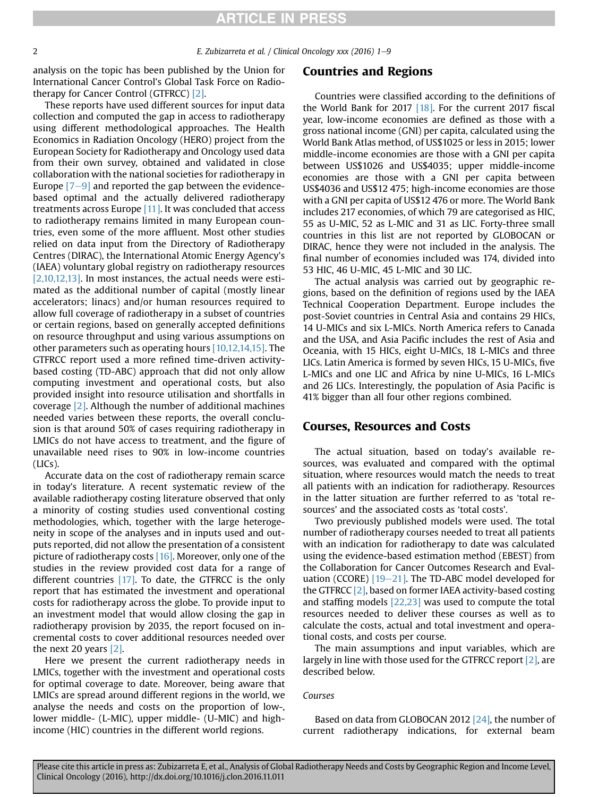2 E. Zubizarreta et al. / Clinical Oncology xxx (2016) 1-9

analysis on the topic has been published by the Union for International Cancer Control's Global Task Force on Radiotherapy for Cancer Control (GTFRCC) [\[2\]](#page-8-0).

These reports have used different sources for input data collection and computed the gap in access to radiotherapy using different methodological approaches. The Health Economics in Radiation Oncology (HERO) project from the European Society for Radiotherapy and Oncology used data from their own survey, obtained and validated in close collaboration with the national societies for radiotherapy in Europe  $[7-9]$  $[7-9]$  $[7-9]$  and reported the gap between the evidencebased optimal and the actually delivered radiotherapy treatments across Europe [\[11\].](#page-8-0) It was concluded that access to radiotherapy remains limited in many European countries, even some of the more affluent. Most other studies relied on data input from the Directory of Radiotherapy Centres (DIRAC), the International Atomic Energy Agency's (IAEA) voluntary global registry on radiotherapy resources [\[2,10,12,13\]](#page-8-0). In most instances, the actual needs were estimated as the additional number of capital (mostly linear accelerators; linacs) and/or human resources required to allow full coverage of radiotherapy in a subset of countries or certain regions, based on generally accepted definitions on resource throughput and using various assumptions on other parameters such as operating hours [\[10,12,14,15\].](#page-8-0) The GTFRCC report used a more refined time-driven activitybased costing (TD-ABC) approach that did not only allow computing investment and operational costs, but also provided insight into resource utilisation and shortfalls in coverage [\[2\]](#page-8-0). Although the number of additional machines needed varies between these reports, the overall conclusion is that around 50% of cases requiring radiotherapy in LMICs do not have access to treatment, and the figure of unavailable need rises to 90% in low-income countries (LICs).

Accurate data on the cost of radiotherapy remain scarce in today's literature. A recent systematic review of the available radiotherapy costing literature observed that only a minority of costing studies used conventional costing methodologies, which, together with the large heterogeneity in scope of the analyses and in inputs used and outputs reported, did not allow the presentation of a consistent picture of radiotherapy costs [\[16\].](#page-8-0) Moreover, only one of the studies in the review provided cost data for a range of different countries  $[17]$ . To date, the GTFRCC is the only report that has estimated the investment and operational costs for radiotherapy across the globe. To provide input to an investment model that would allow closing the gap in radiotherapy provision by 2035, the report focused on incremental costs to cover additional resources needed over the next 20 years [\[2\].](#page-8-0)

Here we present the current radiotherapy needs in LMICs, together with the investment and operational costs for optimal coverage to date. Moreover, being aware that LMICs are spread around different regions in the world, we analyse the needs and costs on the proportion of low-, lower middle- (L-MIC), upper middle- (U-MIC) and highincome (HIC) countries in the different world regions.

### Countries and Regions

Countries were classified according to the definitions of the World Bank for 2017 [\[18\]](#page-8-0). For the current 2017 fiscal year, low-income economies are defined as those with a gross national income (GNI) per capita, calculated using the World Bank Atlas method, of US\$1025 or less in 2015; lower middle-income economies are those with a GNI per capita between US\$1026 and US\$4035; upper middle-income economies are those with a GNI per capita between US\$4036 and US\$12 475; high-income economies are those with a GNI per capita of US\$12 476 or more. The World Bank includes 217 economies, of which 79 are categorised as HIC, 55 as U-MIC, 52 as L-MIC and 31 as LIC. Forty-three small countries in this list are not reported by GLOBOCAN or DIRAC, hence they were not included in the analysis. The final number of economies included was 174, divided into 53 HIC, 46 U-MIC, 45 L-MIC and 30 LIC.

The actual analysis was carried out by geographic regions, based on the definition of regions used by the IAEA Technical Cooperation Department. Europe includes the post-Soviet countries in Central Asia and contains 29 HICs, 14 U-MICs and six L-MICs. North America refers to Canada and the USA, and Asia Pacific includes the rest of Asia and Oceania, with 15 HICs, eight U-MICs, 18 L-MICs and three LICs. Latin America is formed by seven HICs, 15 U-MICs, five L-MICs and one LIC and Africa by nine U-MICs, 16 L-MICs and 26 LICs. Interestingly, the population of Asia Pacific is 41% bigger than all four other regions combined.

### Courses, Resources and Costs

The actual situation, based on today's available resources, was evaluated and compared with the optimal situation, where resources would match the needs to treat all patients with an indication for radiotherapy. Resources in the latter situation are further referred to as 'total resources' and the associated costs as 'total costs'.

Two previously published models were used. The total number of radiotherapy courses needed to treat all patients with an indication for radiotherapy to date was calculated using the evidence-based estimation method (EBEST) from the Collaboration for Cancer Outcomes Research and Evaluation (CCORE)  $[19-21]$  $[19-21]$  $[19-21]$ . The TD-ABC model developed for the GTFRCC [\[2\]](#page-8-0), based on former IAEA activity-based costing and staffing models [\[22,23\]](#page-8-0) was used to compute the total resources needed to deliver these courses as well as to calculate the costs, actual and total investment and operational costs, and costs per course.

The main assumptions and input variables, which are largely in line with those used for the GTFRCC report [\[2\]](#page-8-0), are described below.

#### Courses

Based on data from GLOBOCAN 2012 [\[24\]](#page-9-0), the number of current radiotherapy indications, for external beam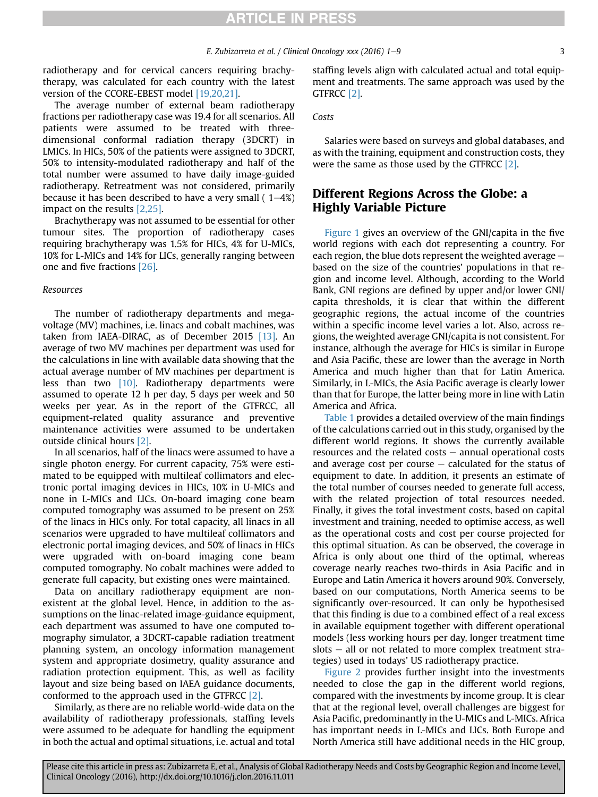radiotherapy and for cervical cancers requiring brachytherapy, was calculated for each country with the latest version of the CCORE-EBEST model [\[19,20,21\]](#page-8-0).

The average number of external beam radiotherapy fractions per radiotherapy case was 19.4 for all scenarios. All patients were assumed to be treated with threedimensional conformal radiation therapy (3DCRT) in LMICs. In HICs, 50% of the patients were assigned to 3DCRT, 50% to intensity-modulated radiotherapy and half of the total number were assumed to have daily image-guided radiotherapy. Retreatment was not considered, primarily because it has been described to have a very small  $(1-4%)$ impact on the results [\[2,25\].](#page-8-0)

Brachytherapy was not assumed to be essential for other tumour sites. The proportion of radiotherapy cases requiring brachytherapy was 1.5% for HICs, 4% for U-MICs, 10% for L-MICs and 14% for LICs, generally ranging between one and five fractions [\[26\]](#page-9-0).

#### Resources

The number of radiotherapy departments and megavoltage (MV) machines, i.e. linacs and cobalt machines, was taken from IAEA-DIRAC, as of December 2015 [\[13\]](#page-8-0). An average of two MV machines per department was used for the calculations in line with available data showing that the actual average number of MV machines per department is less than two [\[10\]](#page-8-0). Radiotherapy departments were assumed to operate 12 h per day, 5 days per week and 50 weeks per year. As in the report of the GTFRCC, all equipment-related quality assurance and preventive maintenance activities were assumed to be undertaken outside clinical hours [\[2\]](#page-8-0).

In all scenarios, half of the linacs were assumed to have a single photon energy. For current capacity, 75% were estimated to be equipped with multileaf collimators and electronic portal imaging devices in HICs, 10% in U-MICs and none in L-MICs and LICs. On-board imaging cone beam computed tomography was assumed to be present on 25% of the linacs in HICs only. For total capacity, all linacs in all scenarios were upgraded to have multileaf collimators and electronic portal imaging devices, and 50% of linacs in HICs were upgraded with on-board imaging cone beam computed tomography. No cobalt machines were added to generate full capacity, but existing ones were maintained.

Data on ancillary radiotherapy equipment are nonexistent at the global level. Hence, in addition to the assumptions on the linac-related image-guidance equipment, each department was assumed to have one computed tomography simulator, a 3DCRT-capable radiation treatment planning system, an oncology information management system and appropriate dosimetry, quality assurance and radiation protection equipment. This, as well as facility layout and size being based on IAEA guidance documents, conformed to the approach used in the GTFRCC [\[2\].](#page-8-0)

Similarly, as there are no reliable world-wide data on the availability of radiotherapy professionals, staffing levels were assumed to be adequate for handling the equipment in both the actual and optimal situations, i.e. actual and total staffing levels align with calculated actual and total equipment and treatments. The same approach was used by the GTFRCC [\[2\].](#page-8-0)

#### Costs

Salaries were based on surveys and global databases, and as with the training, equipment and construction costs, they were the same as those used by the GTFRCC  $[2]$ .

## Different Regions Across the Globe: a Highly Variable Picture

[Figure 1](#page-4-0) gives an overview of the GNI/capita in the five world regions with each dot representing a country. For each region, the blue dots represent the weighted average  $$ based on the size of the countries' populations in that region and income level. Although, according to the World Bank, GNI regions are defined by upper and/or lower GNI/ capita thresholds, it is clear that within the different geographic regions, the actual income of the countries within a specific income level varies a lot. Also, across regions, the weighted average GNI/capita is not consistent. For instance, although the average for HICs is similar in Europe and Asia Pacific, these are lower than the average in North America and much higher than that for Latin America. Similarly, in L-MICs, the Asia Pacific average is clearly lower than that for Europe, the latter being more in line with Latin America and Africa.

[Table 1](#page-5-0) provides a detailed overview of the main findings of the calculations carried out in this study, organised by the different world regions. It shows the currently available resources and the related costs  $-$  annual operational costs and average cost per course  $-$  calculated for the status of equipment to date. In addition, it presents an estimate of the total number of courses needed to generate full access, with the related projection of total resources needed. Finally, it gives the total investment costs, based on capital investment and training, needed to optimise access, as well as the operational costs and cost per course projected for this optimal situation. As can be observed, the coverage in Africa is only about one third of the optimal, whereas coverage nearly reaches two-thirds in Asia Pacific and in Europe and Latin America it hovers around 90%. Conversely, based on our computations, North America seems to be significantly over-resourced. It can only be hypothesised that this finding is due to a combined effect of a real excess in available equipment together with different operational models (less working hours per day, longer treatment time  $s$ lots  $-$  all or not related to more complex treatment strategies) used in todays' US radiotherapy practice.

[Figure 2](#page-5-0) provides further insight into the investments needed to close the gap in the different world regions, compared with the investments by income group. It is clear that at the regional level, overall challenges are biggest for Asia Pacific, predominantly in the U-MICs and L-MICs. Africa has important needs in L-MICs and LICs. Both Europe and North America still have additional needs in the HIC group,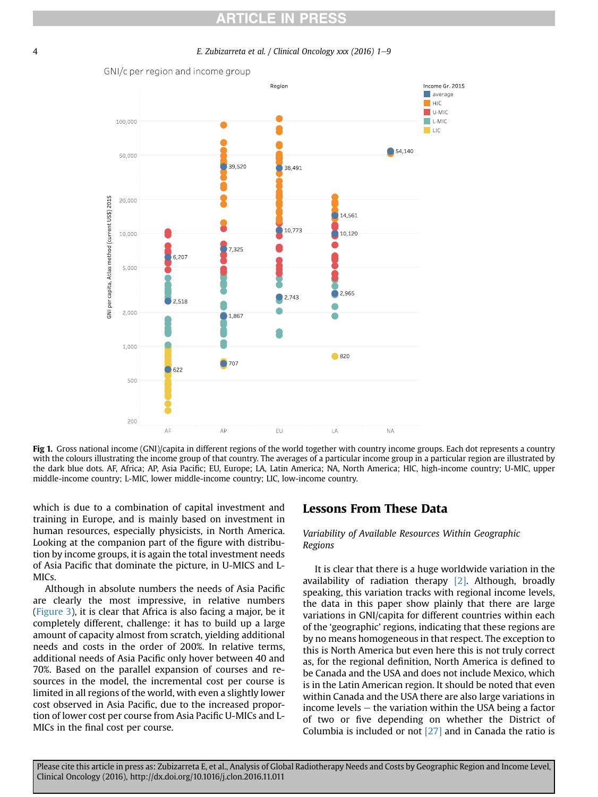#### <span id="page-4-0"></span>4 **E.** Zubizarreta et al. / Clinical Oncology xxx (2016) 1-9



Fig 1. Gross national income (GNI)/capita in different regions of the world together with country income groups. Each dot represents a country with the colours illustrating the income group of that country. The averages of a particular income group in a particular region are illustrated by the dark blue dots. AF, Africa; AP, Asia Pacific; EU, Europe; LA, Latin America; NA, North America; HIC, high-income country; U-MIC, upper middle-income country; L-MIC, lower middle-income country; LIC, low-income country.

which is due to a combination of capital investment and training in Europe, and is mainly based on investment in human resources, especially physicists, in North America. Looking at the companion part of the figure with distribution by income groups, it is again the total investment needs of Asia Pacific that dominate the picture, in U-MICS and L-MICs.

Although in absolute numbers the needs of Asia Pacific are clearly the most impressive, in relative numbers [\(Figure 3\)](#page-6-0), it is clear that Africa is also facing a major, be it completely different, challenge: it has to build up a large amount of capacity almost from scratch, yielding additional needs and costs in the order of 200%. In relative terms, additional needs of Asia Pacific only hover between 40 and 70%. Based on the parallel expansion of courses and resources in the model, the incremental cost per course is limited in all regions of the world, with even a slightly lower cost observed in Asia Pacific, due to the increased proportion of lower cost per course from Asia Pacific U-MICs and L-MICs in the final cost per course.

### Lessons From These Data

### Variability of Available Resources Within Geographic Regions

It is clear that there is a huge worldwide variation in the availability of radiation therapy  $[2]$ . Although, broadly speaking, this variation tracks with regional income levels, the data in this paper show plainly that there are large variations in GNI/capita for different countries within each of the 'geographic' regions, indicating that these regions are by no means homogeneous in that respect. The exception to this is North America but even here this is not truly correct as, for the regional definition, North America is defined to be Canada and the USA and does not include Mexico, which is in the Latin American region. It should be noted that even within Canada and the USA there are also large variations in income levels  $-$  the variation within the USA being a factor of two or five depending on whether the District of Columbia is included or not  $[27]$  and in Canada the ratio is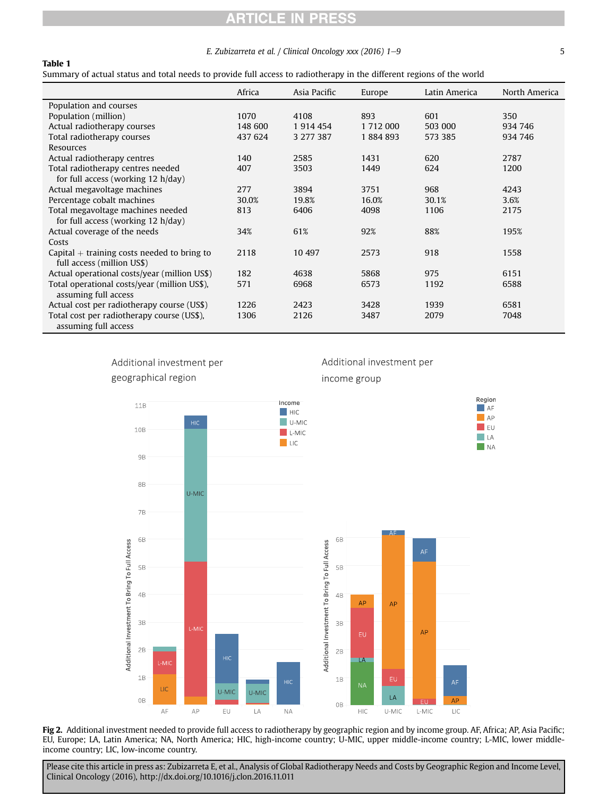#### E. Zubizarreta et al. / Clinical Oncology xxx (2016) 1-9 5

### <span id="page-5-0"></span>Table 1

Summary of actual status and total needs to provide full access to radiotherapy in the different regions of the world

|                                               | Africa  | Asia Pacific | Europe    | Latin America | North America |
|-----------------------------------------------|---------|--------------|-----------|---------------|---------------|
| Population and courses                        |         |              |           |               |               |
| Population (million)                          | 1070    | 4108         | 893       | 601           | 350           |
| Actual radiotherapy courses                   | 148 600 | 1 914 454    | 1 712 000 | 503 000       | 934 746       |
| Total radiotherapy courses                    | 437 624 | 3 277 387    | 1884893   | 573 385       | 934 746       |
| Resources                                     |         |              |           |               |               |
| Actual radiotherapy centres                   | 140     | 2585         | 1431      | 620           | 2787          |
| Total radiotherapy centres needed             | 407     | 3503         | 1449      | 624           | 1200          |
| for full access (working $12$ h/day)          |         |              |           |               |               |
| Actual megavoltage machines                   | 277     | 3894         | 3751      | 968           | 4243          |
| Percentage cobalt machines                    | 30.0%   | 19.8%        | 16.0%     | 30.1%         | 3.6%          |
| Total megavoltage machines needed             | 813     | 6406         | 4098      | 1106          | 2175          |
| for full access (working $12$ h/day)          |         |              |           |               |               |
| Actual coverage of the needs                  | 34%     | 61%          | 92%       | 88%           | 195%          |
| Costs                                         |         |              |           |               |               |
| Capital $+$ training costs needed to bring to | 2118    | 10 497       | 2573      | 918           | 1558          |
| full access (million US\$)                    |         |              |           |               |               |
| Actual operational costs/year (million US\$)  | 182     | 4638         | 5868      | 975           | 6151          |
| Total operational costs/year (million US\$),  | 571     | 6968         | 6573      | 1192          | 6588          |
| assuming full access                          |         |              |           |               |               |
| Actual cost per radiotherapy course (US\$)    | 1226    | 2423         | 3428      | 1939          | 6581          |
| Total cost per radiotherapy course (US\$),    | 1306    | 2126         | 3487      | 2079          | 7048          |
| assuming full access                          |         |              |           |               |               |

#### Additional investment per

### geographical region

income country; LIC, low-income country.



Fig 2. Additional investment needed to provide full access to radiotherapy by geographic region and by income group. AF, Africa; AP, Asia Pacific; EU, Europe; LA, Latin America; NA, North America; HIC, high-income country; U-MIC, upper middle-income country; L-MIC, lower middle-

Please cite this article in press as: Zubizarreta E, et al., Analysis of Global Radiotherapy Needs and Costs by Geographic Region and Income Level, Clinical Oncology (2016), http://dx.doi.org/10.1016/j.clon.2016.11.011

### Additional investment per

income group

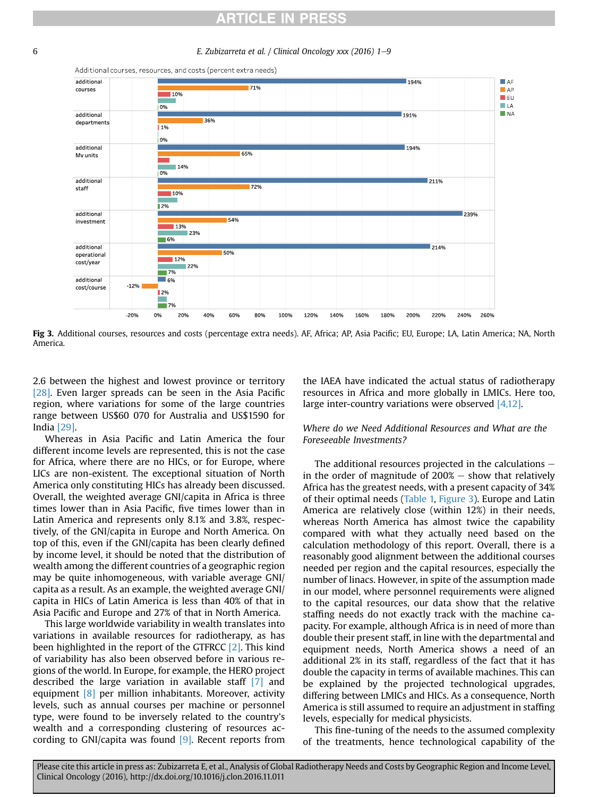<span id="page-6-0"></span>



Additional courses, resources, and costs (percent extra needs)



2.6 between the highest and lowest province or territory [\[28\]](#page-9-0). Even larger spreads can be seen in the Asia Pacific region, where variations for some of the large countries range between US\$60 070 for Australia and US\$1590 for India [\[29\]](#page-9-0).

Whereas in Asia Pacific and Latin America the four different income levels are represented, this is not the case for Africa, where there are no HICs, or for Europe, where LICs are non-existent. The exceptional situation of North America only constituting HICs has already been discussed. Overall, the weighted average GNI/capita in Africa is three times lower than in Asia Pacific, five times lower than in Latin America and represents only 8.1% and 3.8%, respectively, of the GNI/capita in Europe and North America. On top of this, even if the GNI/capita has been clearly defined by income level, it should be noted that the distribution of wealth among the different countries of a geographic region may be quite inhomogeneous, with variable average GNI/ capita as a result. As an example, the weighted average GNI/ capita in HICs of Latin America is less than 40% of that in Asia Pacific and Europe and 27% of that in North America.

This large worldwide variability in wealth translates into variations in available resources for radiotherapy, as has been highlighted in the report of the GTFRCC [\[2\].](#page-8-0) This kind of variability has also been observed before in various regions of the world. In Europe, for example, the HERO project described the large variation in available staff [\[7\]](#page-8-0) and equipment  $\begin{bmatrix} 8 \end{bmatrix}$  per million inhabitants. Moreover, activity levels, such as annual courses per machine or personnel type, were found to be inversely related to the country's wealth and a corresponding clustering of resources according to GNI/capita was found [\[9\].](#page-8-0) Recent reports from the IAEA have indicated the actual status of radiotherapy resources in Africa and more globally in LMICs. Here too, large inter-country variations were observed [\[4,12\]](#page-8-0).

### Where do we Need Additional Resources and What are the Foreseeable Investments?

The additional resources projected in the calculations  $$ in the order of magnitude of  $200\%$  – show that relatively Africa has the greatest needs, with a present capacity of 34% of their optimal needs ([Table 1,](#page-5-0) Figure 3). Europe and Latin America are relatively close (within 12%) in their needs, whereas North America has almost twice the capability compared with what they actually need based on the calculation methodology of this report. Overall, there is a reasonably good alignment between the additional courses needed per region and the capital resources, especially the number of linacs. However, in spite of the assumption made in our model, where personnel requirements were aligned to the capital resources, our data show that the relative staffing needs do not exactly track with the machine capacity. For example, although Africa is in need of more than double their present staff, in line with the departmental and equipment needs, North America shows a need of an additional 2% in its staff, regardless of the fact that it has double the capacity in terms of available machines. This can be explained by the projected technological upgrades, differing between LMICs and HICs. As a consequence, North America is still assumed to require an adjustment in staffing levels, especially for medical physicists.

This fine-tuning of the needs to the assumed complexity of the treatments, hence technological capability of the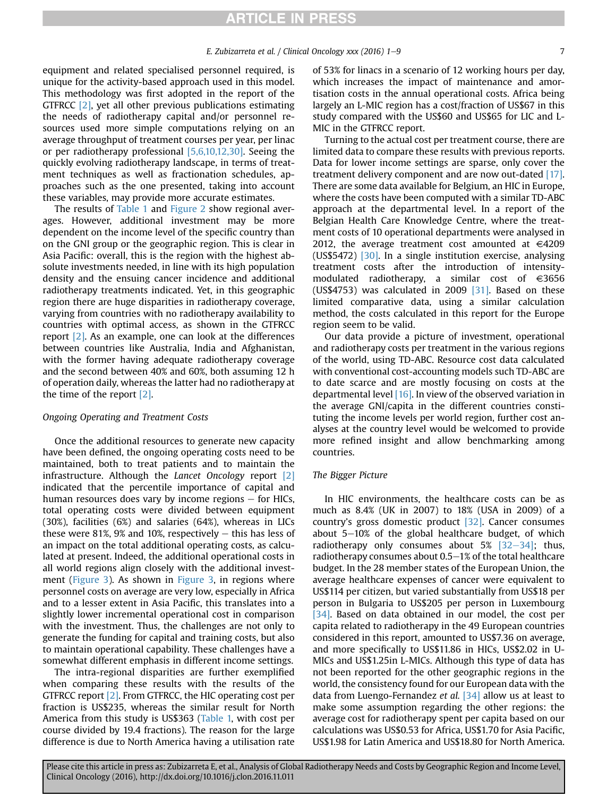equipment and related specialised personnel required, is unique for the activity-based approach used in this model. This methodology was first adopted in the report of the GTFRCC [\[2\],](#page-8-0) yet all other previous publications estimating the needs of radiotherapy capital and/or personnel resources used more simple computations relying on an average throughput of treatment courses per year, per linac or per radiotherapy professional [\[5,6,10,12,30\]](#page-8-0). Seeing the quickly evolving radiotherapy landscape, in terms of treatment techniques as well as fractionation schedules, approaches such as the one presented, taking into account these variables, may provide more accurate estimates.

The results of [Table 1](#page-5-0) and [Figure 2](#page-5-0) show regional averages. However, additional investment may be more dependent on the income level of the specific country than on the GNI group or the geographic region. This is clear in Asia Pacific: overall, this is the region with the highest absolute investments needed, in line with its high population density and the ensuing cancer incidence and additional radiotherapy treatments indicated. Yet, in this geographic region there are huge disparities in radiotherapy coverage, varying from countries with no radiotherapy availability to countries with optimal access, as shown in the GTFRCC report [\[2\]](#page-8-0). As an example, one can look at the differences between countries like Australia, India and Afghanistan, with the former having adequate radiotherapy coverage and the second between 40% and 60%, both assuming 12 h of operation daily, whereas the latter had no radiotherapy at the time of the report [\[2\].](#page-8-0)

#### Ongoing Operating and Treatment Costs

Once the additional resources to generate new capacity have been defined, the ongoing operating costs need to be maintained, both to treat patients and to maintain the infrastructure. Although the Lancet Oncology report [\[2\]](#page-8-0) indicated that the percentile importance of capital and human resources does vary by income regions  $-$  for HICs, total operating costs were divided between equipment (30%), facilities (6%) and salaries (64%), whereas in LICs these were 81%, 9% and 10%, respectively  $-$  this has less of an impact on the total additional operating costs, as calculated at present. Indeed, the additional operational costs in all world regions align closely with the additional investment [\(Figure 3](#page-6-0)). As shown in [Figure 3,](#page-6-0) in regions where personnel costs on average are very low, especially in Africa and to a lesser extent in Asia Pacific, this translates into a slightly lower incremental operational cost in comparison with the investment. Thus, the challenges are not only to generate the funding for capital and training costs, but also to maintain operational capability. These challenges have a somewhat different emphasis in different income settings.

The intra-regional disparities are further exemplified when comparing these results with the results of the GTFRCC report [\[2\]](#page-8-0). From GTFRCC, the HIC operating cost per fraction is US\$235, whereas the similar result for North America from this study is US\$363 [\(Table 1,](#page-5-0) with cost per course divided by 19.4 fractions). The reason for the large difference is due to North America having a utilisation rate of 53% for linacs in a scenario of 12 working hours per day, which increases the impact of maintenance and amortisation costs in the annual operational costs. Africa being largely an L-MIC region has a cost/fraction of US\$67 in this study compared with the US\$60 and US\$65 for LIC and L-MIC in the GTFRCC report.

Turning to the actual cost per treatment course, there are limited data to compare these results with previous reports. Data for lower income settings are sparse, only cover the treatment delivery component and are now out-dated [\[17\]](#page-8-0). There are some data available for Belgium, an HIC in Europe, where the costs have been computed with a similar TD-ABC approach at the departmental level. In a report of the Belgian Health Care Knowledge Centre, where the treatment costs of 10 operational departments were analysed in 2012, the average treatment cost amounted at  $\in$ 4209 (US\$5472)  $\overline{30}$ . In a single institution exercise, analysing treatment costs after the introduction of intensitymodulated radiotherapy, a similar cost of  $\epsilon$ 3656 (US\$4753) was calculated in 2009 [\[31\].](#page-9-0) Based on these limited comparative data, using a similar calculation method, the costs calculated in this report for the Europe region seem to be valid.

Our data provide a picture of investment, operational and radiotherapy costs per treatment in the various regions of the world, using TD-ABC. Resource cost data calculated with conventional cost-accounting models such TD-ABC are to date scarce and are mostly focusing on costs at the departmental level [\[16\]](#page-8-0). In view of the observed variation in the average GNI/capita in the different countries constituting the income levels per world region, further cost analyses at the country level would be welcomed to provide more refined insight and allow benchmarking among countries.

#### The Bigger Picture

In HIC environments, the healthcare costs can be as much as 8.4% (UK in 2007) to 18% (USA in 2009) of a country's gross domestic product [\[32\]](#page-9-0). Cancer consumes about  $5-10\%$  of the global healthcare budget, of which radiotherapy only consumes about  $5\%$  [\[32](#page-9-0)-[34\];](#page-9-0) thus, radiotherapy consumes about  $0.5-1%$  of the total healthcare budget. In the 28 member states of the European Union, the average healthcare expenses of cancer were equivalent to US\$114 per citizen, but varied substantially from US\$18 per person in Bulgaria to US\$205 per person in Luxembourg [\[34\].](#page-9-0) Based on data obtained in our model, the cost per capita related to radiotherapy in the 49 European countries considered in this report, amounted to US\$7.36 on average, and more specifically to US\$11.86 in HICs, US\$2.02 in U-MICs and US\$1.25in L-MICs. Although this type of data has not been reported for the other geographic regions in the world, the consistency found for our European data with the data from Luengo-Fernandez et al. [\[34\]](#page-9-0) allow us at least to make some assumption regarding the other regions: the average cost for radiotherapy spent per capita based on our calculations was US\$0.53 for Africa, US\$1.70 for Asia Pacific, US\$1.98 for Latin America and US\$18.80 for North America.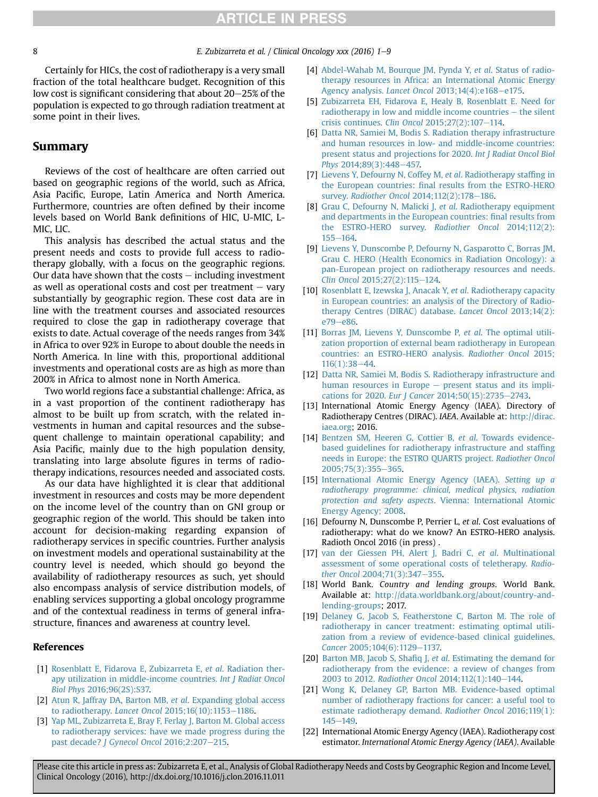<span id="page-8-0"></span>Certainly for HICs, the cost of radiotherapy is a very small fraction of the total healthcare budget. Recognition of this low cost is significant considering that about  $20-25\%$  of the population is expected to go through radiation treatment at some point in their lives.

### Summary

Reviews of the cost of healthcare are often carried out based on geographic regions of the world, such as Africa, Asia Pacific, Europe, Latin America and North America. Furthermore, countries are often defined by their income levels based on World Bank definitions of HIC, U-MIC, L-MIC, LIC.

This analysis has described the actual status and the present needs and costs to provide full access to radiotherapy globally, with a focus on the geographic regions. Our data have shown that the costs  $-$  including investment as well as operational costs and cost per treatment  $-$  vary substantially by geographic region. These cost data are in line with the treatment courses and associated resources required to close the gap in radiotherapy coverage that exists to date. Actual coverage of the needs ranges from 34% in Africa to over 92% in Europe to about double the needs in North America. In line with this, proportional additional investments and operational costs are as high as more than 200% in Africa to almost none in North America.

Two world regions face a substantial challenge: Africa, as in a vast proportion of the continent radiotherapy has almost to be built up from scratch, with the related investments in human and capital resources and the subsequent challenge to maintain operational capability; and Asia Pacific, mainly due to the high population density, translating into large absolute figures in terms of radiotherapy indications, resources needed and associated costs.

As our data have highlighted it is clear that additional investment in resources and costs may be more dependent on the income level of the country than on GNI group or geographic region of the world. This should be taken into account for decision-making regarding expansion of radiotherapy services in specific countries. Further analysis on investment models and operational sustainability at the country level is needed, which should go beyond the availability of radiotherapy resources as such, yet should also encompass analysis of service distribution models, of enabling services supporting a global oncology programme and of the contextual readiness in terms of general infrastructure, finances and awareness at country level.

#### References

- [1] [Rosenblatt E, Fidarova E, Zubizarreta E,](http://refhub.elsevier.com/S0936-6555(16)30411-3/sref1) et al. Radiation ther[apy utilization in middle-income countries.](http://refhub.elsevier.com/S0936-6555(16)30411-3/sref1) Int J Radiat Oncol Biol Phys [2016;96\(2S\):S37.](http://refhub.elsevier.com/S0936-6555(16)30411-3/sref1)
- [2] [Atun R, Jaffray DA, Barton MB,](http://refhub.elsevier.com/S0936-6555(16)30411-3/sref2) et al. Expanding global access to radiotherapy. Lancet Oncol [2015;16\(10\):1153](http://refhub.elsevier.com/S0936-6555(16)30411-3/sref2)-[1186](http://refhub.elsevier.com/S0936-6555(16)30411-3/sref2).
- [3] [Yap ML, Zubizarreta E, Bray F, Ferlay J, Barton M. Global access](http://refhub.elsevier.com/S0936-6555(16)30411-3/sref3) [to radiotherapy services: have we made progress during the](http://refhub.elsevier.com/S0936-6555(16)30411-3/sref3) past decade? [J Gynecol Oncol](http://refhub.elsevier.com/S0936-6555(16)30411-3/sref3) 2016;2:207-[215.](http://refhub.elsevier.com/S0936-6555(16)30411-3/sref3)
- [4] [Abdel-Wahab M, Bourque JM, Pynda Y,](http://refhub.elsevier.com/S0936-6555(16)30411-3/sref4) et al. Status of radio[therapy resources in Africa: an International Atomic Energy](http://refhub.elsevier.com/S0936-6555(16)30411-3/sref4) [Agency analysis.](http://refhub.elsevier.com/S0936-6555(16)30411-3/sref4) Lancet Oncol 2013;14(4):e168-[e175](http://refhub.elsevier.com/S0936-6555(16)30411-3/sref4).
- [5] [Zubizarreta EH, Fidarova E, Healy B, Rosenblatt E. Need for](http://refhub.elsevier.com/S0936-6555(16)30411-3/sref5) [radiotherapy in low and middle income countries](http://refhub.elsevier.com/S0936-6555(16)30411-3/sref5)  $-$  [the silent](http://refhub.elsevier.com/S0936-6555(16)30411-3/sref5) [crisis continues.](http://refhub.elsevier.com/S0936-6555(16)30411-3/sref5) Clin Oncol  $2015;27(2):107-114$ .
- [6] [Datta NR, Samiei M, Bodis S. Radiation therapy infrastructure](http://refhub.elsevier.com/S0936-6555(16)30411-3/sref6) [and human resources in low- and middle-income countries:](http://refhub.elsevier.com/S0936-6555(16)30411-3/sref6) [present status and projections for 2020.](http://refhub.elsevier.com/S0936-6555(16)30411-3/sref6) Int J Radiat Oncol Biol Phys [2014;89\(3\):448](http://refhub.elsevier.com/S0936-6555(16)30411-3/sref6)-[457.](http://refhub.elsevier.com/S0936-6555(16)30411-3/sref6)
- [7] [Lievens Y, Defourny N, Coffey M,](http://refhub.elsevier.com/S0936-6555(16)30411-3/sref7) et al. Radiotherapy staffing in the European countries: fi[nal results from the ESTRO-HERO](http://refhub.elsevier.com/S0936-6555(16)30411-3/sref7) survey. Radiother Oncol [2014;112\(2\):178](http://refhub.elsevier.com/S0936-6555(16)30411-3/sref7)-[186](http://refhub.elsevier.com/S0936-6555(16)30411-3/sref7).
- [8] [Grau C, Defourny N, Malicki J,](http://refhub.elsevier.com/S0936-6555(16)30411-3/sref8) et al. Radiotherapy equipment [and departments in the European countries:](http://refhub.elsevier.com/S0936-6555(16)30411-3/sref8) final results from [the ESTRO-HERO survey.](http://refhub.elsevier.com/S0936-6555(16)30411-3/sref8) Radiother Oncol 2014;112(2): [155](http://refhub.elsevier.com/S0936-6555(16)30411-3/sref8)-[164.](http://refhub.elsevier.com/S0936-6555(16)30411-3/sref8)
- [9] [Lievens Y, Dunscombe P, Defourny N, Gasparotto C, Borras JM,](http://refhub.elsevier.com/S0936-6555(16)30411-3/sref9) [Grau C. HERO \(Health Economics in Radiation Oncology\): a](http://refhub.elsevier.com/S0936-6555(16)30411-3/sref9) [pan-European project on radiotherapy resources and needs.](http://refhub.elsevier.com/S0936-6555(16)30411-3/sref9) Clin Oncol [2015;27\(2\):115](http://refhub.elsevier.com/S0936-6555(16)30411-3/sref9)-[124.](http://refhub.elsevier.com/S0936-6555(16)30411-3/sref9)
- [10] [Rosenblatt E, Izewska J, Anacak Y,](http://refhub.elsevier.com/S0936-6555(16)30411-3/sref10) et al. Radiotherapy capacity [in European countries: an analysis of the Directory of Radio](http://refhub.elsevier.com/S0936-6555(16)30411-3/sref10)[therapy Centres \(DIRAC\) database.](http://refhub.elsevier.com/S0936-6555(16)30411-3/sref10) Lancet Oncol 2013;14(2): [e79](http://refhub.elsevier.com/S0936-6555(16)30411-3/sref10)-[e86](http://refhub.elsevier.com/S0936-6555(16)30411-3/sref10).
- [11] [Borras JM, Lievens Y, Dunscombe P,](http://refhub.elsevier.com/S0936-6555(16)30411-3/sref11) et al. The optimal utili[zation proportion of external beam radiotherapy in European](http://refhub.elsevier.com/S0936-6555(16)30411-3/sref11) [countries: an ESTRO-HERO analysis.](http://refhub.elsevier.com/S0936-6555(16)30411-3/sref11) Radiother Oncol 2015;  $116(1):38-44.$  $116(1):38-44.$  $116(1):38-44.$  $116(1):38-44.$
- [12] [Datta NR, Samiei M, Bodis S. Radiotherapy infrastructure and](http://refhub.elsevier.com/S0936-6555(16)30411-3/sref12) [human resources in Europe](http://refhub.elsevier.com/S0936-6555(16)30411-3/sref12)  $-$  [present status and its impli-](http://refhub.elsevier.com/S0936-6555(16)30411-3/sref12)cations for 2020. Eur J Cancer [2014;50\(15\):2735](http://refhub.elsevier.com/S0936-6555(16)30411-3/sref12)-[2743.](http://refhub.elsevier.com/S0936-6555(16)30411-3/sref12)
- [13] International Atomic Energy Agency (IAEA). Directory of Radiotherapy Centres (DIRAC). IAEA. Available at: [http://dirac.](http://dirac.iaea.org) [iaea.org](http://dirac.iaea.org); 2016.
- [14] [Bentzen SM, Heeren G, Cottier B,](http://refhub.elsevier.com/S0936-6555(16)30411-3/sref14) et al. Towards evidence[based guidelines for radiotherapy infrastructure and staf](http://refhub.elsevier.com/S0936-6555(16)30411-3/sref14)fing [needs in Europe: the ESTRO QUARTS project.](http://refhub.elsevier.com/S0936-6555(16)30411-3/sref14) Radiother Oncol [2005;75\(3\):355](http://refhub.elsevier.com/S0936-6555(16)30411-3/sref14)-[365](http://refhub.elsevier.com/S0936-6555(16)30411-3/sref14).
- [15] [International Atomic Energy Agency \(IAEA\).](http://refhub.elsevier.com/S0936-6555(16)30411-3/sref15) Setting up a [radiotherapy programme: clinical, medical physics, radiation](http://refhub.elsevier.com/S0936-6555(16)30411-3/sref15) protection and safety aspects[. Vienna: International Atomic](http://refhub.elsevier.com/S0936-6555(16)30411-3/sref15) [Energy Agency; 2008.](http://refhub.elsevier.com/S0936-6555(16)30411-3/sref15)
- [16] Defourny N, Dunscombe P, Perrier L, et al. Cost evaluations of radiotherapy: what do we know? An ESTRO-HERO analysis. Radioth Oncol 2016 (in press) .
- [17] [van der Giessen PH, Alert J, Badri C,](http://refhub.elsevier.com/S0936-6555(16)30411-3/sref17) et al. Multinational [assessment of some operational costs of teletherapy.](http://refhub.elsevier.com/S0936-6555(16)30411-3/sref17) Radio-ther Oncol [2004;71\(3\):347](http://refhub.elsevier.com/S0936-6555(16)30411-3/sref17)-[355](http://refhub.elsevier.com/S0936-6555(16)30411-3/sref17).
- [18] World Bank. Country and lending groups. World Bank. Available at: [http://data.worldbank.org/about/country-and](http://data.worldbank.org/about/country-and-lending-groups)[lending-groups;](http://data.worldbank.org/about/country-and-lending-groups) 2017.
- [19] [Delaney G, Jacob S, Featherstone C, Barton M. The role of](http://refhub.elsevier.com/S0936-6555(16)30411-3/sref19) [radiotherapy in cancer treatment: estimating optimal utili](http://refhub.elsevier.com/S0936-6555(16)30411-3/sref19)[zation from a review of evidence-based clinical guidelines.](http://refhub.elsevier.com/S0936-6555(16)30411-3/sref19) Cancer [2005;104\(6\):1129](http://refhub.elsevier.com/S0936-6555(16)30411-3/sref19)-[1137.](http://refhub.elsevier.com/S0936-6555(16)30411-3/sref19)
- [20] Barton MB, Jacob S, Shafiq J, et al[. Estimating the demand for](http://refhub.elsevier.com/S0936-6555(16)30411-3/sref20) [radiotherapy from the evidence: a review of changes from](http://refhub.elsevier.com/S0936-6555(16)30411-3/sref20) 2003 to 2012. Radiother Oncol [2014;112\(1\):140](http://refhub.elsevier.com/S0936-6555(16)30411-3/sref20)-[144](http://refhub.elsevier.com/S0936-6555(16)30411-3/sref20).
- [21] [Wong K, Delaney GP, Barton MB. Evidence-based optimal](http://refhub.elsevier.com/S0936-6555(16)30411-3/sref21) [number of radiotherapy fractions for cancer: a useful tool to](http://refhub.elsevier.com/S0936-6555(16)30411-3/sref21) [estimate radiotherapy demand.](http://refhub.elsevier.com/S0936-6555(16)30411-3/sref21) Radiother Oncol 2016;119(1):  $145 - 149$  $145 - 149$
- [22] International Atomic Energy Agency (IAEA). Radiotherapy cost estimator. International Atomic Energy Agency (IAEA). Available